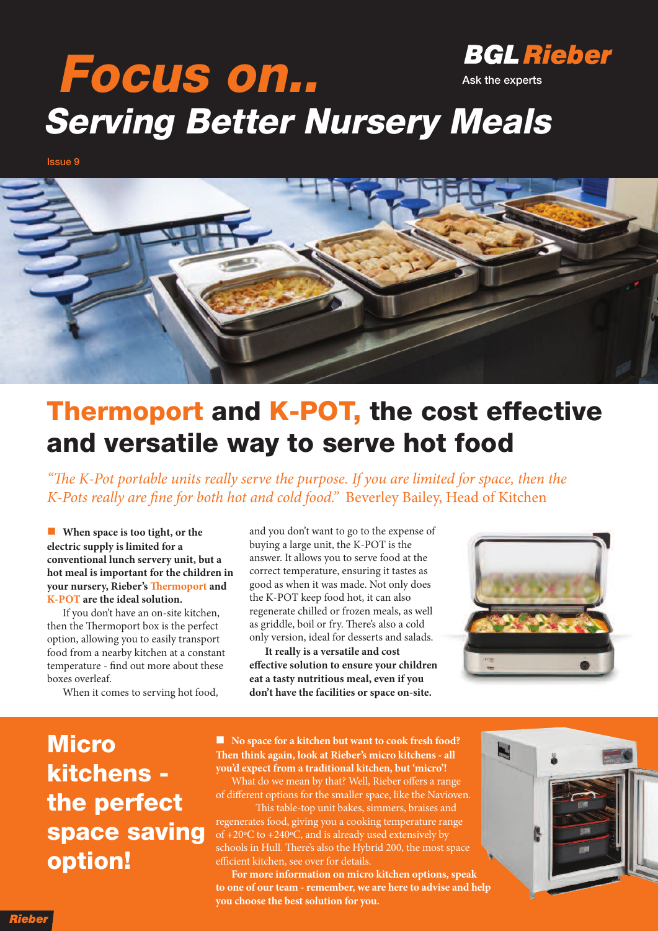#### **BGL Rieber Focus on.. Ask the experts Serving Better Nursery Meals**

**Issue 9**



### **Thermoport and K-POT, the cost effective and versatile way to serve hot food**

"The K-Pot portable units really serve the purpose. If you are limited for space, then the K-Pots really are fine for both hot and cold food." Beverley Bailey, Head of Kitchen

n **When space is too tight, or the electric supply is limited for a conventional lunch servery unit, but a hot meal is important for the children in your** nursery, Rieber's **Thermoport** and **K-POT are the ideal solution.**

If you don't have an on-site kitchen, then the Thermoport box is the perfect option, allowing you to easily transport food from a nearby kitchen at a constant temperature - find out more about these boxes overleaf.

When it comes to serving hot food,

and you don't want to go to the expense of buying a large unit, the K-POT is the answer. It allows you to serve food at the correct temperature, ensuring it tastes as good as when it was made. Not only does the K-POT keep food hot, it can also regenerate chilled or frozen meals, as well as griddle, boil or fry. There's also a cold only version, ideal for desserts and salads.

**It really is a versatile and cost effective solution to ensure your children eat a tasty nutritious meal, even if you don't have the facilities or space on-site.**



### **Micro kitchens the perfect space saving option!**

■ **No space** for **a** kitchen but want to cook fresh food? **en think again, look at Rieber's micro kitchens - all you'd expect from a traditional kitchen, but 'micro'!**

What do we mean by that? Well, Rieber offers a range of different options for the smaller space, like the Navioven.

This table-top unit bakes, simmers, braises and regenerates food, giving you a cooking temperature range of +20ºC to +240ºC, and is already used extensively by schools in Hull. There's also the Hybrid 200, the most space efficient kitchen, see over for details.

**For more information on micro kitchen options, speak to one of our team - remember, we are here to advise and help you choose the best solution for you.**